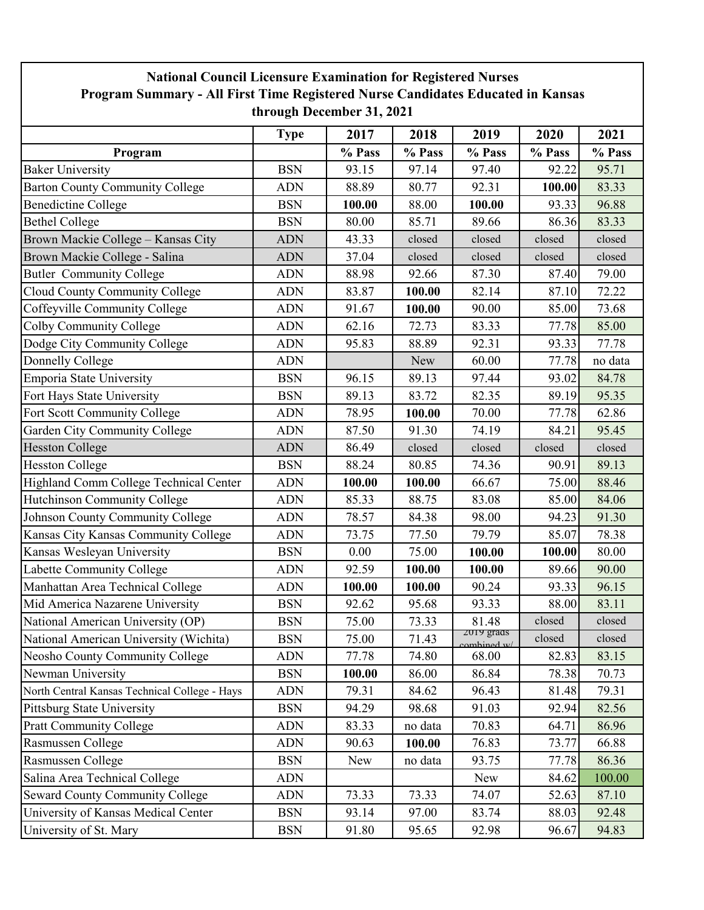| <b>National Council Licensure Examination for Registered Nurses</b>                                          |             |        |         |                        |        |         |  |  |  |  |  |
|--------------------------------------------------------------------------------------------------------------|-------------|--------|---------|------------------------|--------|---------|--|--|--|--|--|
| Program Summary - All First Time Registered Nurse Candidates Educated in Kansas<br>through December 31, 2021 |             |        |         |                        |        |         |  |  |  |  |  |
|                                                                                                              | <b>Type</b> | 2017   | 2018    | 2019                   | 2020   | 2021    |  |  |  |  |  |
| Program                                                                                                      |             | % Pass | % Pass  | % Pass                 | % Pass | % Pass  |  |  |  |  |  |
| <b>Baker University</b>                                                                                      | <b>BSN</b>  | 93.15  | 97.14   | 97.40                  | 92.22  | 95.71   |  |  |  |  |  |
| <b>Barton County Community College</b>                                                                       | <b>ADN</b>  | 88.89  | 80.77   | 92.31                  | 100.00 | 83.33   |  |  |  |  |  |
| <b>Benedictine College</b>                                                                                   | <b>BSN</b>  | 100.00 | 88.00   | 100.00                 | 93.33  | 96.88   |  |  |  |  |  |
| <b>Bethel College</b>                                                                                        | <b>BSN</b>  | 80.00  | 85.71   | 89.66                  | 86.36  | 83.33   |  |  |  |  |  |
| Brown Mackie College - Kansas City                                                                           | <b>ADN</b>  | 43.33  | closed  | closed                 | closed | closed  |  |  |  |  |  |
| Brown Mackie College - Salina                                                                                | <b>ADN</b>  | 37.04  | closed  | closed                 | closed | closed  |  |  |  |  |  |
| <b>Butler Community College</b>                                                                              | <b>ADN</b>  | 88.98  | 92.66   | 87.30                  | 87.40  | 79.00   |  |  |  |  |  |
| Cloud County Community College                                                                               | <b>ADN</b>  | 83.87  | 100.00  | 82.14                  | 87.10  | 72.22   |  |  |  |  |  |
| Coffeyville Community College                                                                                | <b>ADN</b>  | 91.67  | 100.00  | 90.00                  | 85.00  | 73.68   |  |  |  |  |  |
| Colby Community College                                                                                      | <b>ADN</b>  | 62.16  | 72.73   | 83.33                  | 77.78  | 85.00   |  |  |  |  |  |
| Dodge City Community College                                                                                 | <b>ADN</b>  | 95.83  | 88.89   | 92.31                  | 93.33  | 77.78   |  |  |  |  |  |
| Donnelly College                                                                                             | <b>ADN</b>  |        | New     | 60.00                  | 77.78  | no data |  |  |  |  |  |
| <b>Emporia State University</b>                                                                              | <b>BSN</b>  | 96.15  | 89.13   | 97.44                  | 93.02  | 84.78   |  |  |  |  |  |
| Fort Hays State University                                                                                   | <b>BSN</b>  | 89.13  | 83.72   | 82.35                  | 89.19  | 95.35   |  |  |  |  |  |
| Fort Scott Community College                                                                                 | <b>ADN</b>  | 78.95  | 100.00  | 70.00                  | 77.78  | 62.86   |  |  |  |  |  |
| Garden City Community College                                                                                | <b>ADN</b>  | 87.50  | 91.30   | 74.19                  | 84.21  | 95.45   |  |  |  |  |  |
| <b>Hesston College</b>                                                                                       | <b>ADN</b>  | 86.49  | closed  | closed                 | closed | closed  |  |  |  |  |  |
| <b>Hesston College</b>                                                                                       | <b>BSN</b>  | 88.24  | 80.85   | 74.36                  | 90.91  | 89.13   |  |  |  |  |  |
| Highland Comm College Technical Center                                                                       | <b>ADN</b>  | 100.00 | 100.00  | 66.67                  | 75.00  | 88.46   |  |  |  |  |  |
| Hutchinson Community College                                                                                 | <b>ADN</b>  | 85.33  | 88.75   | 83.08                  | 85.00  | 84.06   |  |  |  |  |  |
| Johnson County Community College                                                                             | <b>ADN</b>  | 78.57  | 84.38   | 98.00                  | 94.23  | 91.30   |  |  |  |  |  |
| Kansas City Kansas Community College                                                                         | <b>ADN</b>  | 73.75  | 77.50   | 79.79                  | 85.07  | 78.38   |  |  |  |  |  |
| Kansas Wesleyan University                                                                                   | <b>BSN</b>  | 0.00   | 75.00   | 100.00                 | 100.00 | 80.00   |  |  |  |  |  |
| Labette Community College                                                                                    | <b>ADN</b>  | 92.59  | 100.00  | 100.00                 | 89.66  | 90.00   |  |  |  |  |  |
| Manhattan Area Technical College                                                                             | <b>ADN</b>  | 100.00 | 100.00  | 90.24                  | 93.33  | 96.15   |  |  |  |  |  |
| Mid America Nazarene University                                                                              | <b>BSN</b>  | 92.62  | 95.68   | 93.33                  | 88.00  | 83.11   |  |  |  |  |  |
| National American University (OP)                                                                            | <b>BSN</b>  | 75.00  | 73.33   | 81.48                  | closed | closed  |  |  |  |  |  |
| National American University (Wichita)                                                                       | <b>BSN</b>  | 75.00  | 71.43   | 2019 grads<br>$\omega$ | closed | closed  |  |  |  |  |  |
| Neosho County Community College                                                                              | <b>ADN</b>  | 77.78  | 74.80   | 68.00                  | 82.83  | 83.15   |  |  |  |  |  |
| Newman University                                                                                            | <b>BSN</b>  | 100.00 | 86.00   | 86.84                  | 78.38  | 70.73   |  |  |  |  |  |
| North Central Kansas Technical College - Hays                                                                | <b>ADN</b>  | 79.31  | 84.62   | 96.43                  | 81.48  | 79.31   |  |  |  |  |  |
| Pittsburg State University                                                                                   | <b>BSN</b>  | 94.29  | 98.68   | 91.03                  | 92.94  | 82.56   |  |  |  |  |  |
| <b>Pratt Community College</b>                                                                               | <b>ADN</b>  | 83.33  | no data | 70.83                  | 64.71  | 86.96   |  |  |  |  |  |
| Rasmussen College                                                                                            | <b>ADN</b>  | 90.63  | 100.00  | 76.83                  | 73.77  | 66.88   |  |  |  |  |  |
| Rasmussen College                                                                                            | <b>BSN</b>  | New    | no data | 93.75                  | 77.78  | 86.36   |  |  |  |  |  |
| Salina Area Technical College                                                                                | ADN         |        |         | New                    | 84.62  | 100.00  |  |  |  |  |  |
| <b>Seward County Community College</b>                                                                       | ADN         | 73.33  | 73.33   | 74.07                  | 52.63  | 87.10   |  |  |  |  |  |
| University of Kansas Medical Center                                                                          | <b>BSN</b>  | 93.14  | 97.00   | 83.74                  | 88.03  | 92.48   |  |  |  |  |  |
| University of St. Mary                                                                                       | <b>BSN</b>  | 91.80  | 95.65   | 92.98                  | 96.67  | 94.83   |  |  |  |  |  |